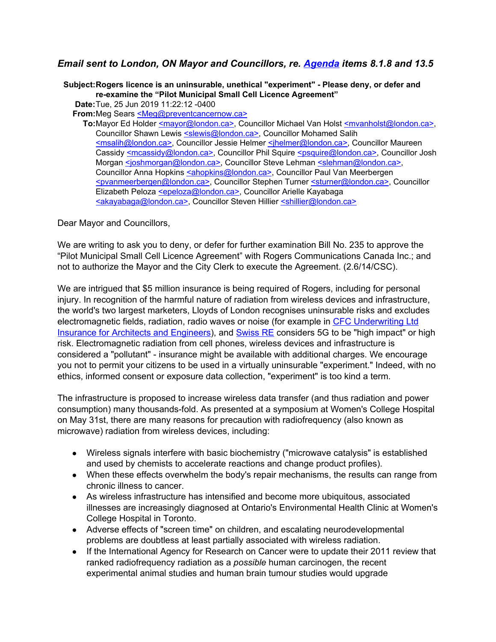## *Email sent to London, ON Mayor and Councillors, re. [Agenda](https://pub-london.escribemeetings.com/Meeting.aspx?Id=bf61968a-d308-4c74-85aa-c5c3173b7d6e&Agenda=Merged&lang=English&Item=8) items 8.1.8 and 13.5*

**Subject:Rogers licence is an uninsurable, unethical "experiment" - Please deny, or defer and re-examine the "Pilot Municipal Small Cell Licence Agreement"**

**Date:**Tue, 25 Jun 2019 11:22:12 -0400

**From:**Meg Sears [<Meg@preventcancernow.ca>](mailto:Meg@preventcancernow.ca)

**To:**Mayor Ed Holder [<mayor@london.ca>,](mailto:mayor@london.ca) Councillor Michael Van Holst [<mvanholst@london.ca>,](mailto:mvanholst@london.ca) Councillor Shawn Lewis [<slewis@london.ca>,](mailto:slewis@london.ca) Councillor Mohamed Salih [<msalih@london.ca>](mailto:msalih@london.ca), Councillor Jessie Helmer [<jhelmer@london.ca>](mailto:jhelmer@london.ca), Councillor Maureen Cassidy [<mcassidy@london.ca>](mailto:mcassidy@london.ca), Councillor Phil Squire [<psquire@london.ca>](mailto:psquire@london.ca), Councillor Josh Morgan [<joshmorgan@london.ca>](mailto:joshmorgan@london.ca), Councillor Steve Lehman [<slehman@london.ca>](mailto:slehman@london.ca), Councillor Anna Hopkins [<ahopkins@london.ca>](mailto:ahopkins@london.ca), Councillor Paul Van Meerbergen [<pvanmeerbergen@london.ca>,](mailto:pvanmeerbergen@london.ca) Councillor Stephen Turner [<sturner@london.ca>](mailto:sturner@london.ca), Councillor Elizabeth Peloza **<epeloza@london.ca>**, Councillor Arielle Kayabaga [<akayabaga@london.ca>](mailto:akayabaga@london.ca), Councillor Steven Hillier [<shillier@london.ca>](mailto:shillier@london.ca)

Dear Mayor and Councillors,

We are writing to ask you to deny, or defer for further examination Bill No. 235 to approve the "Pilot Municipal Small Cell Licence Agreement" with Rogers Communications Canada Inc.; and not to authorize the Mayor and the City Clerk to execute the Agreement. (2.6/14/CSC).

We are intrigued that \$5 million insurance is being required of Rogers, including for personal injury. In recognition of the harmful nature of radiation from wireless devices and infrastructure, the world's two largest marketers, Lloyds of London recognises uninsurable risks and excludes electromagnetic fields, radiation, radio waves or noise (for example in CFC [Underwriting](http://emrabc.ca/wp-content/uploads/2015/03/InsuranceAEWordingCanadav17Feb2015.pdf) Ltd Insurance for Architects and [Engineers](http://emrabc.ca/wp-content/uploads/2015/03/InsuranceAEWordingCanadav17Feb2015.pdf)), and [Swiss](https://www.swissre.com/institute/research/sonar/sonar2019.html) RE considers 5G to be "high impact" or high risk. Electromagnetic radiation from cell phones, wireless devices and infrastructure is considered a "pollutant" - insurance might be available with additional charges. We encourage you not to permit your citizens to be used in a virtually uninsurable "experiment." Indeed, with no ethics, informed consent or exposure data collection, "experiment" is too kind a term.

The infrastructure is proposed to increase wireless data transfer (and thus radiation and power consumption) many thousands-fold. As presented at a symposium at Women's College Hospital on May 31st, there are many reasons for precaution with radiofrequency (also known as microwave) radiation from wireless devices, including:

- Wireless signals interfere with basic biochemistry ("microwave catalysis" is established and used by chemists to accelerate reactions and change product profiles).
- When these effects overwhelm the body's repair mechanisms, the results can range from chronic illness to cancer.
- As wireless infrastructure has intensified and become more ubiquitous, associated illnesses are increasingly diagnosed at Ontario's Environmental Health Clinic at Women's College Hospital in Toronto.
- Adverse effects of "screen time" on children, and escalating neurodevelopmental problems are doubtless at least partially associated with wireless radiation.
- If the International Agency for Research on Cancer were to update their 2011 review that ranked radiofrequency radiation as a *possible* human carcinogen, the recent experimental animal studies and human brain tumour studies would upgrade